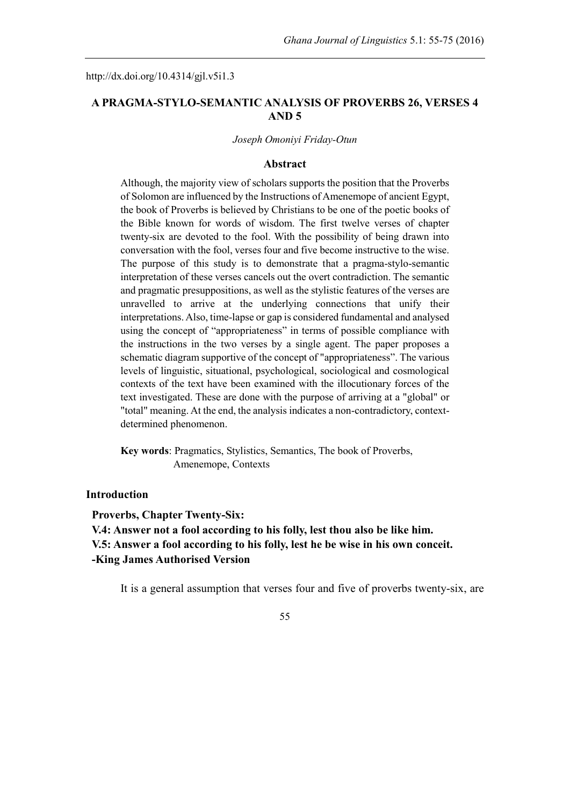http://dx.doi.org/10.4314/gjl.v5i1.3

# **A PRAGMA-STYLO-SEMANTIC ANALYSIS OF PROVERBS 26, VERSES 4 AND 5**

*Joseph Omoniyi Friday-Otun*

#### **Abstract**

Although, the majority view of scholars supports the position that the Proverbs of Solomon are influenced by the Instructions of Amenemope of ancient Egypt, the book of Proverbs is believed by Christians to be one of the poetic books of the Bible known for words of wisdom. The first twelve verses of chapter twenty-six are devoted to the fool. With the possibility of being drawn into conversation with the fool, verses four and five become instructive to the wise. The purpose of this study is to demonstrate that a pragma-stylo-semantic interpretation of these verses cancels out the overt contradiction. The semantic and pragmatic presuppositions, as well as the stylistic features of the verses are unravelled to arrive at the underlying connections that unify their interpretations. Also, time-lapse or gap is considered fundamental and analysed using the concept of "appropriateness" in terms of possible compliance with the instructions in the two verses by a single agent. The paper proposes a schematic diagram supportive of the concept of "appropriateness". The various levels of linguistic, situational, psychological, sociological and cosmological contexts of the text have been examined with the illocutionary forces of the text investigated. These are done with the purpose of arriving at a "global" or "total" meaning. At the end, the analysis indicates a non-contradictory, contextdetermined phenomenon.

**Key words**: Pragmatics, Stylistics, Semantics, The book of Proverbs, Amenemope, Contexts

### **Introduction**

#### **Proverbs, Chapter Twenty-Six:**

**V.4: Answer not a fool according to his folly, lest thou also be like him. V.5: Answer a fool according to his folly, lest he be wise in his own conceit. -King James Authorised Version**

It is a general assumption that verses four and five of proverbs twenty-six, are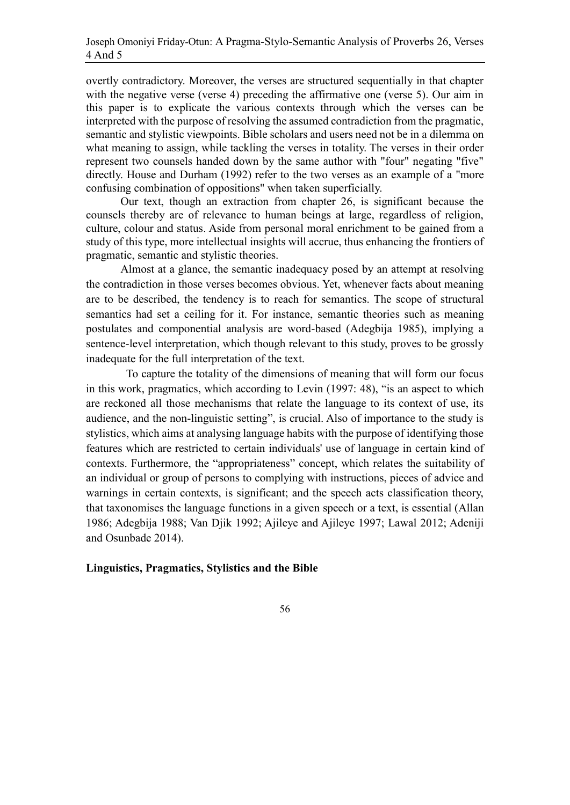overtly contradictory. Moreover, the verses are structured sequentially in that chapter with the negative verse (verse 4) preceding the affirmative one (verse 5). Our aim in this paper is to explicate the various contexts through which the verses can be interpreted with the purpose of resolving the assumed contradiction from the pragmatic, semantic and stylistic viewpoints. Bible scholars and users need not be in a dilemma on what meaning to assign, while tackling the verses in totality. The verses in their order represent two counsels handed down by the same author with "four" negating "five" directly. House and Durham (1992) refer to the two verses as an example of a "more confusing combination of oppositions" when taken superficially.

Our text, though an extraction from chapter 26, is significant because the counsels thereby are of relevance to human beings at large, regardless of religion, culture, colour and status. Aside from personal moral enrichment to be gained from a study of this type, more intellectual insights will accrue, thus enhancing the frontiers of pragmatic, semantic and stylistic theories.

Almost at a glance, the semantic inadequacy posed by an attempt at resolving the contradiction in those verses becomes obvious. Yet, whenever facts about meaning are to be described, the tendency is to reach for semantics. The scope of structural semantics had set a ceiling for it. For instance, semantic theories such as meaning postulates and componential analysis are word-based (Adegbija 1985), implying a sentence-level interpretation, which though relevant to this study, proves to be grossly inadequate for the full interpretation of the text.

To capture the totality of the dimensions of meaning that will form our focus in this work, pragmatics, which according to Levin (1997: 48), "is an aspect to which are reckoned all those mechanisms that relate the language to its context of use, its audience, and the non-linguistic setting", is crucial. Also of importance to the study is stylistics, which aims at analysing language habits with the purpose of identifying those features which are restricted to certain individuals' use of language in certain kind of contexts. Furthermore, the "appropriateness" concept, which relates the suitability of an individual or group of persons to complying with instructions, pieces of advice and warnings in certain contexts, is significant; and the speech acts classification theory, that taxonomises the language functions in a given speech or a text, is essential (Allan 1986; Adegbija 1988; Van Djik 1992; Ajileye and Ajileye 1997; Lawal 2012; Adeniji and Osunbade 2014).

# **Linguistics, Pragmatics, Stylistics and the Bible**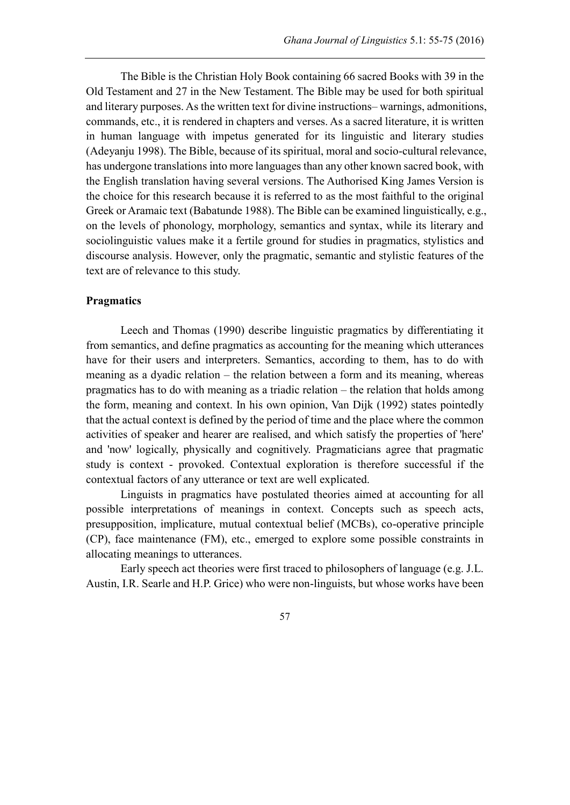The Bible is the Christian Holy Book containing 66 sacred Books with 39 in the Old Testament and 27 in the New Testament. The Bible may be used for both spiritual and literary purposes. As the written text for divine instructions—warnings, admonitions, commands, etc., it is rendered in chapters and verses. As a sacred literature, it is written in human language with impetus generated for its linguistic and literary studies (Adeyanju 1998). The Bible, because of its spiritual, moral and socio-cultural relevance, has undergone translations into more languages than any other known sacred book, with the English translation having several versions. The Authorised King James Version is the choice for this research because it is referred to as the most faithful to the original Greek or Aramaic text (Babatunde 1988). The Bible can be examined linguistically, e.g., on the levels of phonology, morphology, semantics and syntax, while its literary and sociolinguistic values make it a fertile ground for studies in pragmatics, stylistics and discourse analysis. However, only the pragmatic, semantic and stylistic features of the text are of relevance to this study.

# **Pragmatics**

Leech and Thomas (1990) describe linguistic pragmatics by differentiating it from semantics, and define pragmatics as accounting for the meaning which utterances have for their users and interpreters. Semantics, according to them, has to do with meaning as a dyadic relation  $-$  the relation between a form and its meaning, whereas pragmatics has to do with meaning as a triadic relation  $-$  the relation that holds among the form, meaning and context. In his own opinion, Van Dijk (1992) states pointedly that the actual context is defined by the period of time and the place where the common activities of speaker and hearer are realised, and which satisfy the properties of 'here' and 'now' logically, physically and cognitively. Pragmaticians agree that pragmatic study is context - provoked. Contextual exploration is therefore successful if the contextual factors of any utterance or text are well explicated.

Linguists in pragmatics have postulated theories aimed at accounting for all possible interpretations of meanings in context. Concepts such as speech acts, presupposition, implicature, mutual contextual belief (MCBs), co-operative principle (CP), face maintenance (FM), etc., emerged to explore some possible constraints in allocating meanings to utterances.

Early speech act theories were first traced to philosophers of language (e.g. J.L. Austin, I.R. Searle and H.P. Grice) who were non-linguists, but whose works have been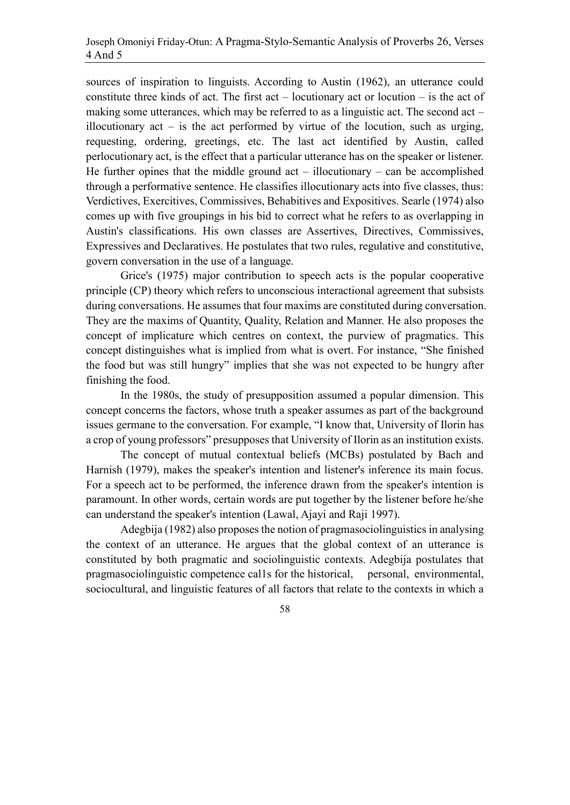sources of inspiration to linguists. According to Austin (1962), an utterance could constitute three kinds of act. The first act  $-$  locutionary act or locution  $-$  is the act of making some utterances, which may be referred to as a linguistic act. The second act  $$ illocutionary act  $-$  is the act performed by virtue of the locution, such as urging, requesting, ordering, greetings, etc. The last act identified by Austin, called perlocutionary act, is the effect that a particular utterance has on the speaker or listener. He further opines that the middle ground  $act$  – illocutionary – can be accomplished through a performative sentence. He classifies illocutionary acts into five classes, thus: Verdictives, Exercitives, Commissives, Behabitives and Expositives. Searle (1974) also comes up with five groupings in his bid to correct what he refers to as overlapping in Austin's classifications. His own classes are Assertives, Directives, Commissives, Expressives and Declaratives. He postulates that two rules, regulative and constitutive, govern conversation in the use of a language.

Grice's (1975) major contribution to speech acts is the popular cooperative principle (CP) theory which refers to unconscious interactional agreement that subsists during conversations. He assumes that four maxims are constituted during conversation. They are the maxims of Quantity, Quality, Relation and Manner. He also proposes the concept of implicature which centres on context, the purview of pragmatics. This concept distinguishes what is implied from what is overt. For instance, "She finished the food but was still hungry" implies that she was not expected to be hungry after finishing the food.

In the 1980s, the study of presupposition assumed a popular dimension. This concept concerns the factors, whose truth a speaker assumes as part of the background issues germane to the conversation. For example, "I know that, University of Ilorin has a crop of young professors" presupposes that University of Ilorin as an institution exists.

The concept of mutual contextual beliefs (MCBs) postulated by Bach and Harnish (1979), makes the speaker's intention and listener's inference its main focus. For a speech act to be performed, the inference drawn from the speaker's intention is paramount. In other words, certain words are put together by the listener before he/she can understand the speaker's intention (Lawal, Ajayi and Raji 1997).

Adegbija (1982) also proposes the notion of pragmasociolinguistics in analysing the context of an utterance. He argues that the global context of an utterance is constituted by both pragmatic and sociolinguistic contexts. Adegbija postulates that pragmasociolinguistic competence cal1s for the historical, personal, environmental, sociocultural, and linguistic features of all factors that relate to the contexts in which a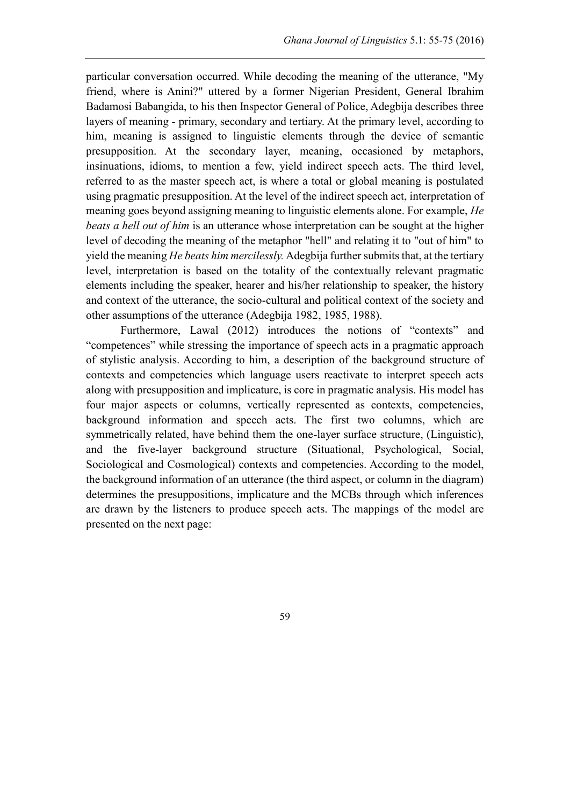particular conversation occurred. While decoding the meaning of the utterance, "My friend, where is Anini?" uttered by a former Nigerian President, General Ibrahim Badamosi Babangida, to his then Inspector General of Police, Adegbija describes three layers of meaning - primary, secondary and tertiary. At the primary level, according to him, meaning is assigned to linguistic elements through the device of semantic presupposition. At the secondary layer, meaning, occasioned by metaphors, insinuations, idioms, to mention a few, yield indirect speech acts. The third level, referred to as the master speech act, is where a total or global meaning is postulated using pragmatic presupposition. At the level of the indirect speech act, interpretation of meaning goes beyond assigning meaning to linguistic elements alone. For example, *He beats a hell out of him* is an utterance whose interpretation can be sought at the higher level of decoding the meaning of the metaphor "hell" and relating it to "out of him" to yield the meaning *He beats him mercilessly.* Adegbija further submits that, at the tertiary level, interpretation is based on the totality of the contextually relevant pragmatic elements including the speaker, hearer and his/her relationship to speaker, the history and context of the utterance, the socio-cultural and political context of the society and other assumptions of the utterance (Adegbija 1982, 1985, 1988).

Furthermore, Lawal (2012) introduces the notions of "contexts" and "competences" while stressing the importance of speech acts in a pragmatic approach of stylistic analysis. According to him, a description of the background structure of contexts and competencies which language users reactivate to interpret speech acts along with presupposition and implicature, is core in pragmatic analysis. His model has four major aspects or columns, vertically represented as contexts, competencies, background information and speech acts. The first two columns, which are symmetrically related, have behind them the one-layer surface structure, (Linguistic), and the five-layer background structure (Situational, Psychological, Social, Sociological and Cosmological) contexts and competencies. According to the model, the background information of an utterance (the third aspect, or column in the diagram) determines the presuppositions, implicature and the MCBs through which inferences are drawn by the listeners to produce speech acts. The mappings of the model are presented on the next page: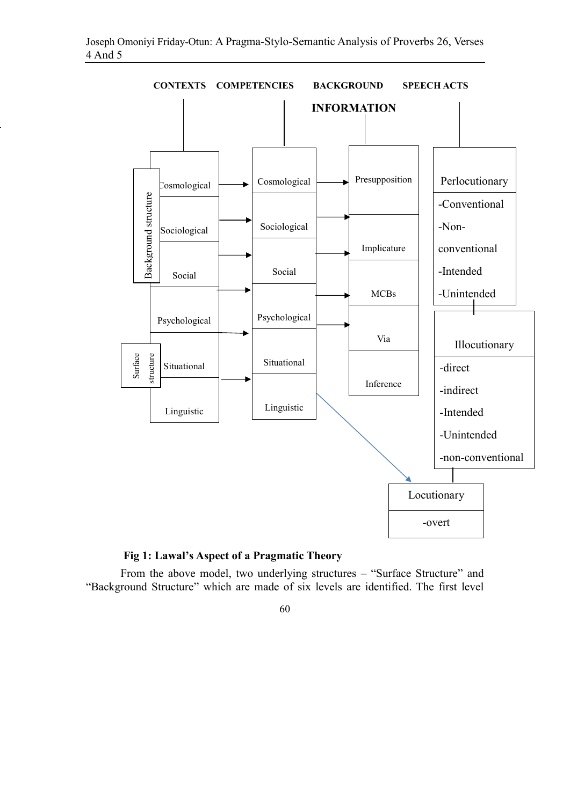

# **Fig 1: Lawal's Aspect of a Pragmatic Theory**

From the above model, two underlying structures – "Surface Structure" and "Background Structure" which are made of six levels are identified. The first level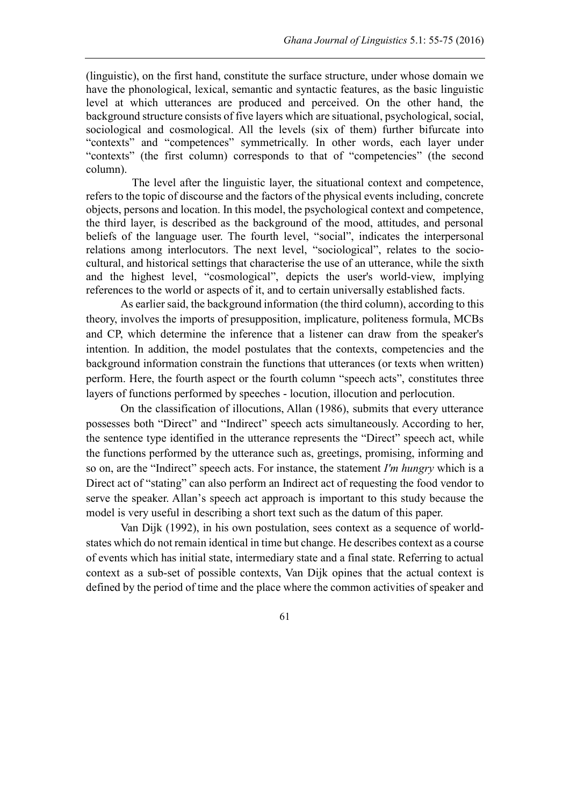(linguistic), on the first hand, constitute the surface structure, under whose domain we have the phonological, lexical, semantic and syntactic features, as the basic linguistic level at which utterances are produced and perceived. On the other hand, the background structure consists of five layers which are situational, psychological, social, sociological and cosmological. All the levels (six of them) further bifurcate into "contexts" and "competences" symmetrically. In other words, each layer under "contexts" (the first column) corresponds to that of "competencies" (the second column).

 The level after the linguistic layer, the situational context and competence, refers to the topic of discourse and the factors of the physical events including, concrete objects, persons and location. In this model, the psychological context and competence, the third layer, is described as the background of the mood, attitudes, and personal beliefs of the language user. The fourth level, "social", indicates the interpersonal relations among interlocutors. The next level, "sociological", relates to the sociocultural, and historical settings that characterise the use of an utterance, while the sixth and the highest level, "cosmological", depicts the user's world-view, implying references to the world or aspects of it, and to certain universally established facts.

As earlier said, the background information (the third column), according to this theory, involves the imports of presupposition, implicature, politeness formula, MCBs and CP, which determine the inference that a listener can draw from the speaker's intention. In addition, the model postulates that the contexts, competencies and the background information constrain the functions that utterances (or texts when written) perform. Here, the fourth aspect or the fourth column "speech acts", constitutes three layers of functions performed by speeches - locution, illocution and perlocution.

On the classification of illocutions, Allan (1986), submits that every utterance possesses both "Direct" and "Indirect" speech acts simultaneously. According to her, the sentence type identified in the utterance represents the "Direct" speech act, while the functions performed by the utterance such as, greetings, promising, informing and so on, are the "Indirect" speech acts. For instance, the statement *I'm hungry* which is a Direct act of "stating" can also perform an Indirect act of requesting the food vendor to serve the speaker. Allan's speech act approach is important to this study because the model is very useful in describing a short text such as the datum of this paper.

Van Dijk (1992), in his own postulation, sees context as a sequence of worldstates which do not remain identical in time but change. He describes context as a course of events which has initial state, intermediary state and a final state. Referring to actual context as a sub-set of possible contexts, Van Dijk opines that the actual context is defined by the period of time and the place where the common activities of speaker and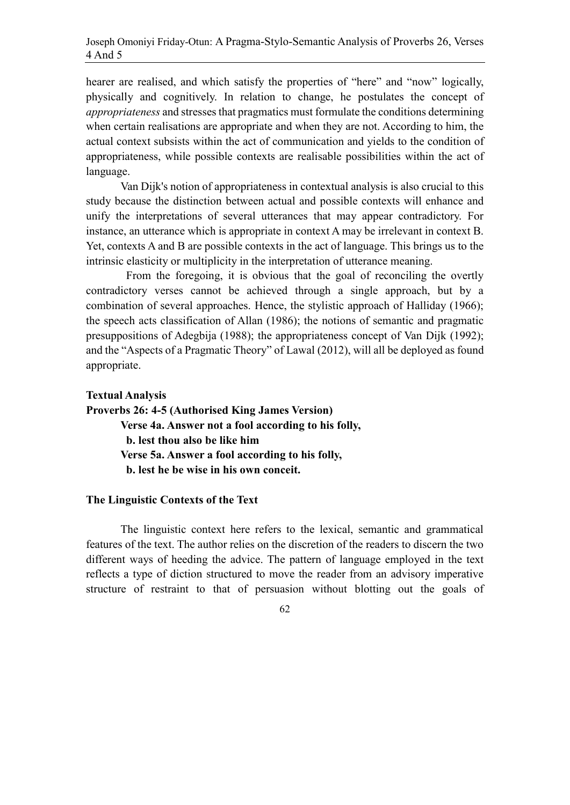hearer are realised, and which satisfy the properties of "here" and "now" logically, physically and cognitively. In relation to change, he postulates the concept of *appropriateness* and stresses that pragmatics must formulate the conditions determining when certain realisations are appropriate and when they are not. According to him, the actual context subsists within the act of communication and yields to the condition of appropriateness, while possible contexts are realisable possibilities within the act of language.

Van Dijk's notion of appropriateness in contextual analysis is also crucial to this study because the distinction between actual and possible contexts will enhance and unify the interpretations of several utterances that may appear contradictory. For instance, an utterance which is appropriate in context A may be irrelevant in context B. Yet, contexts A and B are possible contexts in the act of language. This brings us to the intrinsic elasticity or multiplicity in the interpretation of utterance meaning.

From the foregoing, it is obvious that the goal of reconciling the overtly contradictory verses cannot be achieved through a single approach, but by a combination of several approaches. Hence, the stylistic approach of Halliday (1966); the speech acts classification of Allan (1986); the notions of semantic and pragmatic presuppositions of Adegbija (1988); the appropriateness concept of Van Dijk (1992); and the "Aspects of a Pragmatic Theory" of Lawal (2012), will all be deployed as found appropriate.

# **Textual Analysis**

**Proverbs 26: 4-5 (Authorised King James Version) Verse 4a. Answer not a fool according to his folly, b. lest thou also be like him Verse 5a. Answer a fool according to his folly, b. lest he be wise in his own conceit.** 

### **The Linguistic Contexts of the Text**

The linguistic context here refers to the lexical, semantic and grammatical features of the text. The author relies on the discretion of the readers to discern the two different ways of heeding the advice. The pattern of language employed in the text reflects a type of diction structured to move the reader from an advisory imperative structure of restraint to that of persuasion without blotting out the goals of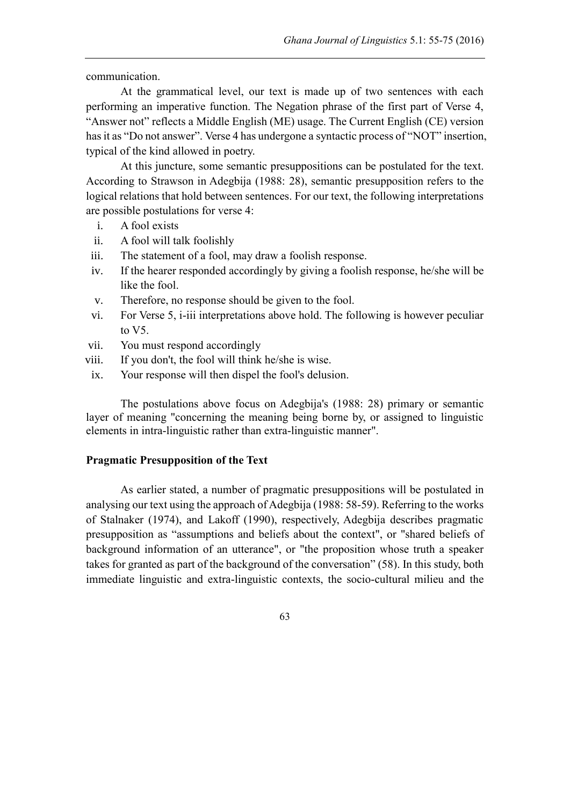communication.

At the grammatical level, our text is made up of two sentences with each performing an imperative function. The Negation phrase of the first part of Verse 4, "Answer not" reflects a Middle English (ME) usage. The Current English (CE) version has it as "Do not answer". Verse 4 has undergone a syntactic process of "NOT" insertion, typical of the kind allowed in poetry.

At this juncture, some semantic presuppositions can be postulated for the text. According to Strawson in Adegbija (1988: 28), semantic presupposition refers to the logical relations that hold between sentences. For our text, the following interpretations are possible postulations for verse 4:

- i. A fool exists
- ii. A fool will talk foolishly
- iii. The statement of a fool, may draw a foolish response.
- iv. If the hearer responded accordingly by giving a foolish response, he/she will be like the fool.
- v. Therefore, no response should be given to the fool.
- vi. For Verse 5, i-iii interpretations above hold. The following is however peculiar to V5.
- vii. You must respond accordingly
- viii. If you don't, the fool will think he/she is wise.
- ix. Your response will then dispel the fool's delusion.

The postulations above focus on Adegbija's (1988: 28) primary or semantic layer of meaning "concerning the meaning being borne by, or assigned to linguistic elements in intra-linguistic rather than extra-linguistic manner".

## **Pragmatic Presupposition of the Text**

As earlier stated, a number of pragmatic presuppositions will be postulated in analysing our text using the approach of Adegbija (1988: 58-59). Referring to the works of Stalnaker (1974), and Lakoff (1990), respectively, Adegbija describes pragmatic presupposition as "assumptions and beliefs about the context", or "shared beliefs of background information of an utterance", or "the proposition whose truth a speaker takes for granted as part of the background of the conversation" (58). In this study, both immediate linguistic and extra-linguistic contexts, the socio-cultural milieu and the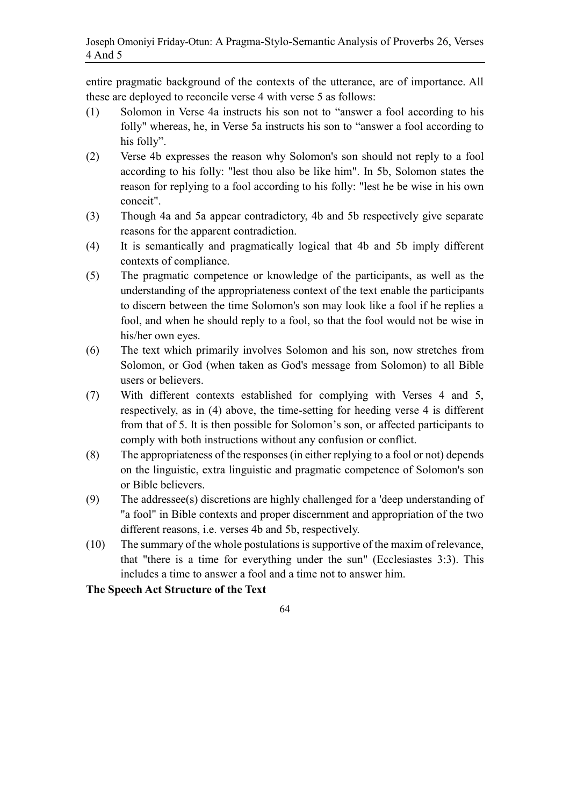entire pragmatic background of the contexts of the utterance, are of importance. All these are deployed to reconcile verse 4 with verse 5 as follows:

- (1) Solomon in Verse 4a instructs his son not to "answer a fool according to his folly" whereas, he, in Verse 5a instructs his son to "answer a fool according to his folly".
- (2) Verse 4b expresses the reason why Solomon's son should not reply to a fool according to his folly: "lest thou also be like him". In 5b, Solomon states the reason for replying to a fool according to his folly: "lest he be wise in his own conceit".
- (3) Though 4a and 5a appear contradictory, 4b and 5b respectively give separate reasons for the apparent contradiction.
- (4) It is semantically and pragmatically logical that 4b and 5b imply different contexts of compliance.
- (5) The pragmatic competence or knowledge of the participants, as well as the understanding of the appropriateness context of the text enable the participants to discern between the time Solomon's son may look like a fool if he replies a fool, and when he should reply to a fool, so that the fool would not be wise in his/her own eyes.
- (6) The text which primarily involves Solomon and his son, now stretches from Solomon, or God (when taken as God's message from Solomon) to all Bible users or believers.
- (7) With different contexts established for complying with Verses 4 and 5, respectively, as in (4) above, the time-setting for heeding verse 4 is different from that of 5. It is then possible for Solomon's son, or affected participants to comply with both instructions without any confusion or conflict.
- (8) The appropriateness of the responses (in either replying to a fool or not) depends on the linguistic, extra linguistic and pragmatic competence of Solomon's son or Bible believers.
- (9) The addressee(s) discretions are highly challenged for a 'deep understanding of "a fool" in Bible contexts and proper discernment and appropriation of the two different reasons, i.e. verses 4b and 5b, respectively.
- (10) The summary of the whole postulations is supportive of the maxim of relevance, that "there is a time for everything under the sun" (Ecclesiastes 3:3). This includes a time to answer a fool and a time not to answer him.

**The Speech Act Structure of the Text**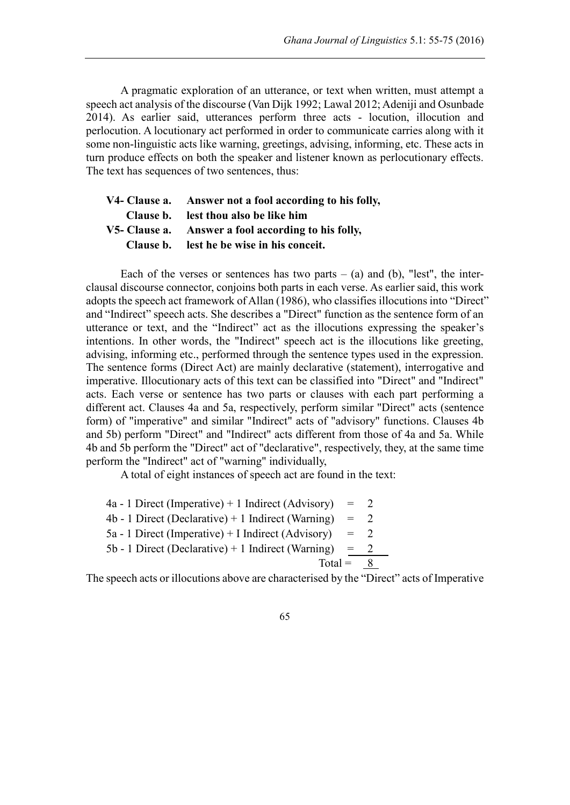A pragmatic exploration of an utterance, or text when written, must attempt a speech act analysis of the discourse (Van Dijk 1992; Lawal 2012; Adeniji and Osunbade 2014). As earlier said, utterances perform three acts - locution, illocution and perlocution. A locutionary act performed in order to communicate carries along with it some non-linguistic acts like warning, greetings, advising, informing, etc. These acts in turn produce effects on both the speaker and listener known as perlocutionary effects. The text has sequences of two sentences, thus:

| V4- Clause a. Answer not a fool according to his folly, |
|---------------------------------------------------------|
| Clause b. lest thou also be like him                    |
| V5- Clause a. Answer a fool according to his folly,     |
| Clause b. lest he be wise in his conceit.               |

Each of the verses or sentences has two parts  $-$  (a) and (b), "lest", the interclausal discourse connector, conjoins both parts in each verse. As earlier said, this work adopts the speech act framework of Allan (1986), who classifies illocutions into "Direct" and "Indirect" speech acts. She describes a "Direct" function as the sentence form of an utterance or text, and the "Indirect" act as the illocutions expressing the speaker's intentions. In other words, the "Indirect" speech act is the illocutions like greeting, advising, informing etc., performed through the sentence types used in the expression. The sentence forms (Direct Act) are mainly declarative (statement), interrogative and imperative. Illocutionary acts of this text can be classified into "Direct" and "Indirect" acts. Each verse or sentence has two parts or clauses with each part performing a different act. Clauses 4a and 5a, respectively, perform similar "Direct" acts (sentence form) of "imperative" and similar "Indirect" acts of "advisory" functions. Clauses 4b and 5b) perform "Direct" and "Indirect" acts different from those of 4a and 5a. While 4b and 5b perform the "Direct" act of "declarative", respectively, they, at the same time perform the "Indirect" act of "warning" individually,

A total of eight instances of speech act are found in the text:

 $4a - 1$  Direct (Imperative) + 1 Indirect (Advisory) = 2  $4b - 1$  Direct (Declarative) + 1 Indirect (Warning) = 2 5a - 1 Direct (Imperative) + I Indirect (Advisory) = 2 5b - 1 Direct (Declarative) + 1 Indirect (Warning) =  $2$  $Total = 8$ 

The speech acts or illocutions above are characterised by the "Direct" acts of Imperative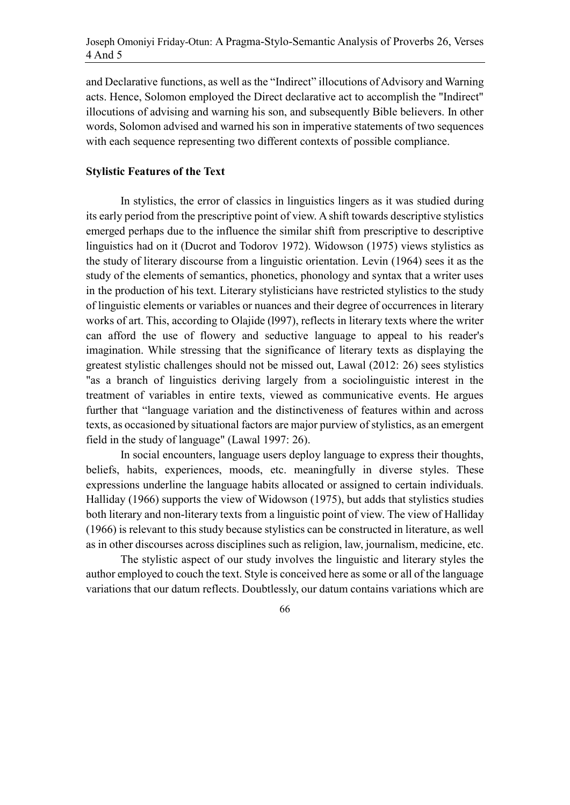and Declarative functions, as well as the "Indirect" illocutions of Advisory and Warning acts. Hence, Solomon employed the Direct declarative act to accomplish the "Indirect" illocutions of advising and warning his son, and subsequently Bible believers. In other words, Solomon advised and warned his son in imperative statements of two sequences with each sequence representing two different contexts of possible compliance.

# **Stylistic Features of the Text**

In stylistics, the error of classics in linguistics lingers as it was studied during its early period from the prescriptive point of view. A shift towards descriptive stylistics emerged perhaps due to the influence the similar shift from prescriptive to descriptive linguistics had on it (Ducrot and Todorov 1972). Widowson (1975) views stylistics as the study of literary discourse from a linguistic orientation. Levin (1964) sees it as the study of the elements of semantics, phonetics, phonology and syntax that a writer uses in the production of his text. Literary stylisticians have restricted stylistics to the study of linguistic elements or variables or nuances and their degree of occurrences in literary works of art. This, according to Olajide (l997), reflects in literary texts where the writer can afford the use of flowery and seductive language to appeal to his reader's imagination. While stressing that the significance of literary texts as displaying the greatest stylistic challenges should not be missed out, Lawal (2012: 26) sees stylistics "as a branch of linguistics deriving largely from a sociolinguistic interest in the treatment of variables in entire texts, viewed as communicative events. He argues further that "language variation and the distinctiveness of features within and across texts, as occasioned by situational factors are major purview of stylistics, as an emergent field in the study of language" (Lawal 1997: 26).

In social encounters, language users deploy language to express their thoughts, beliefs, habits, experiences, moods, etc. meaningfully in diverse styles. These expressions underline the language habits allocated or assigned to certain individuals. Halliday (1966) supports the view of Widowson (1975), but adds that stylistics studies both literary and non-literary texts from a linguistic point of view. The view of Halliday (1966) is relevant to this study because stylistics can be constructed in literature, as well as in other discourses across disciplines such as religion, law, journalism, medicine, etc.

The stylistic aspect of our study involves the linguistic and literary styles the author employed to couch the text. Style is conceived here as some or all of the language variations that our datum reflects. Doubtlessly, our datum contains variations which are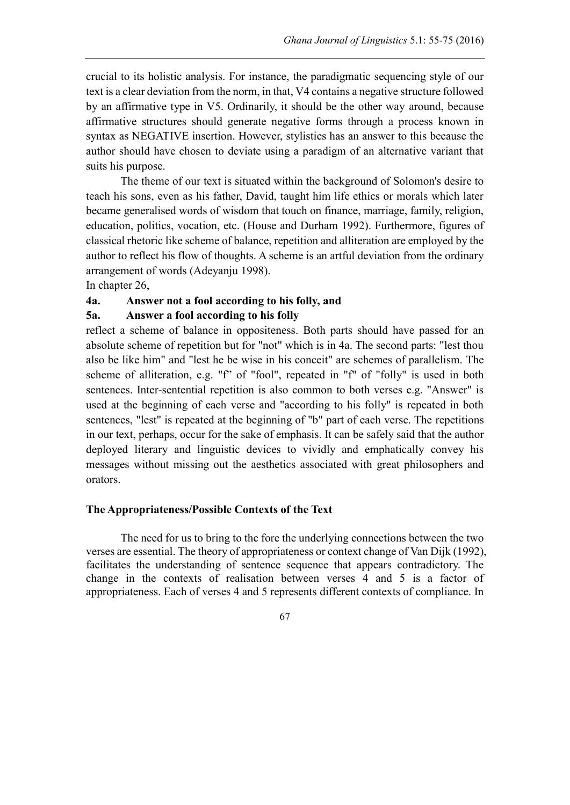crucial to its holistic analysis. For instance, the paradigmatic sequencing style of our text is a clear deviation from the norm, in that, V4 contains a negative structure followed by an affirmative type in V5. Ordinarily, it should be the other way around, because affirmative structures should generate negative forms through a process known in syntax as NEGATIVE insertion. However, stylistics has an answer to this because the author should have chosen to deviate using a paradigm of an alternative variant that suits his purpose.

The theme of our text is situated within the background of Solomon's desire to teach his sons, even as his father, David, taught him life ethics or morals which later became generalised words of wisdom that touch on finance, marriage, family, religion, education, politics, vocation, etc. (House and Durham 1992). Furthermore, figures of classical rhetoric like scheme of balance, repetition and alliteration are employed by the author to reflect his flow of thoughts. A scheme is an artful deviation from the ordinary arrangement of words (Adeyanju 1998).

In chapter 26,

# **4a. Answer not a fool according to his folly, and**

# **5a. Answer a fool according to his folly**

reflect a scheme of balance in oppositeness. Both parts should have passed for an absolute scheme of repetition but for "not" which is in 4a. The second parts: "lest thou also be like him" and "lest he be wise in his conceit" are schemes of parallelism. The scheme of alliteration, e.g. "f" of "fool", repeated in "f" of "folly" is used in both sentences. Inter-sentential repetition is also common to both verses e.g. "Answer" is used at the beginning of each verse and "according to his folly" is repeated in both sentences, "lest" is repeated at the beginning of "b" part of each verse. The repetitions in our text, perhaps, occur for the sake of emphasis. It can be safely said that the author deployed literary and linguistic devices to vividly and emphatically convey his messages without missing out the aesthetics associated with great philosophers and orators.

### **The Appropriateness/Possible Contexts of the Text**

The need for us to bring to the fore the underlying connections between the two verses are essential. The theory of appropriateness or context change of Van Dijk (1992), facilitates the understanding of sentence sequence that appears contradictory. The change in the contexts of realisation between verses 4 and 5 is a factor of appropriateness. Each of verses 4 and 5 represents different contexts of compliance. In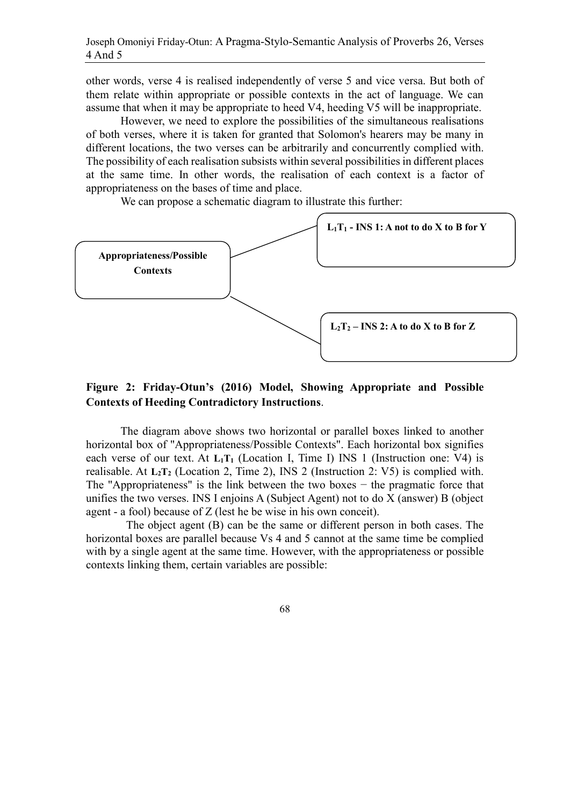other words, verse 4 is realised independently of verse 5 and vice versa. But both of them relate within appropriate or possible contexts in the act of language. We can assume that when it may be appropriate to heed V4, heeding V5 will be inappropriate.

However, we need to explore the possibilities of the simultaneous realisations of both verses, where it is taken for granted that Solomon's hearers may be many in different locations, the two verses can be arbitrarily and concurrently complied with. The possibility of each realisation subsists within several possibilities in different places at the same time. In other words, the realisation of each context is a factor of appropriateness on the bases of time and place.

We can propose a schematic diagram to illustrate this further:



**Figure 2: Friday-Otun's (2016) Model, Showing Appropriate and Possible Contexts of Heeding Contradictory Instructions**.

The diagram above shows two horizontal or parallel boxes linked to another horizontal box of "Appropriateness/Possible Contexts". Each horizontal box signifies each verse of our text. At  $L_1T_1$  (Location I, Time I) INS 1 (Instruction one: V4) is realisable. At **L2T<sup>2</sup>** (Location 2, Time 2), INS 2 (Instruction 2: V5) is complied with. The "Appropriateness" is the link between the two boxes − the pragmatic force that unifies the two verses. INS I enjoins A (Subject Agent) not to do X (answer) B (object agent - a fool) because of Z (lest he be wise in his own conceit).

The object agent (B) can be the same or different person in both cases. The horizontal boxes are parallel because Vs 4 and 5 cannot at the same time be complied with by a single agent at the same time. However, with the appropriateness or possible contexts linking them, certain variables are possible: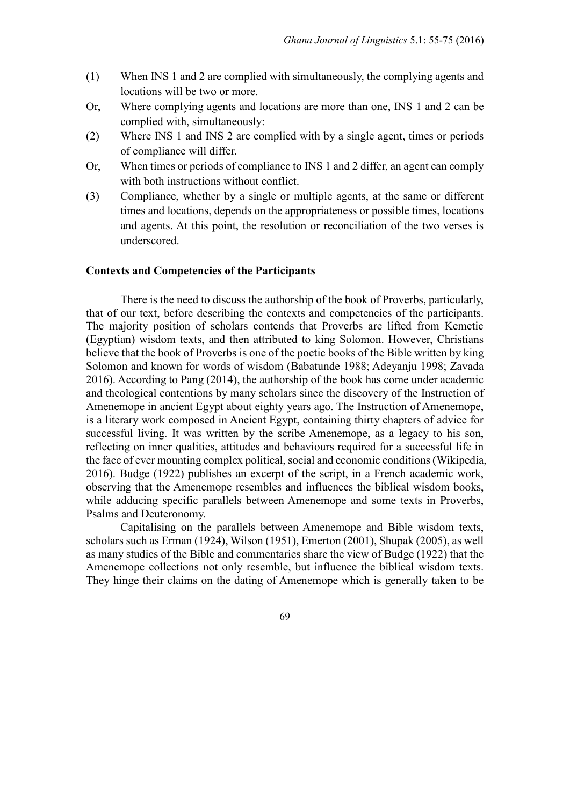- (1) When INS 1 and 2 are complied with simultaneously, the complying agents and locations will be two or more.
- Or, Where complying agents and locations are more than one, INS 1 and 2 can be complied with, simultaneously:
- (2) Where INS 1 and INS 2 are complied with by a single agent, times or periods of compliance will differ.
- Or, When times or periods of compliance to INS 1 and 2 differ, an agent can comply with both instructions without conflict.
- (3) Compliance, whether by a single or multiple agents, at the same or different times and locations, depends on the appropriateness or possible times, locations and agents. At this point, the resolution or reconciliation of the two verses is underscored.

#### **Contexts and Competencies of the Participants**

There is the need to discuss the authorship of the book of Proverbs, particularly, that of our text, before describing the contexts and competencies of the participants. The majority position of scholars contends that Proverbs are lifted from Kemetic (Egyptian) wisdom texts, and then attributed to king Solomon. However, Christians believe that the book of Proverbs is one of the poetic books of the Bible written by king Solomon and known for words of wisdom (Babatunde 1988; Adeyanju 1998; Zavada 2016). According to Pang (2014), the authorship of the book has come under academic and theological contentions by many scholars since the discovery of the Instruction of Amenemope in ancient Egypt about eighty years ago. The Instruction of Amenemope, is a literary work composed in Ancient Egypt, containing thirty chapters of advice for successful living. It was written by the scribe Amenemope, as a legacy to his son, reflecting on inner qualities, attitudes and behaviours required for a successful life in the face of ever mounting complex political, social and economic conditions (Wikipedia, 2016). Budge (1922) publishes an excerpt of the script, in a French academic work, observing that the Amenemope resembles and influences the biblical wisdom books, while adducing specific parallels between Amenemope and some texts in Proverbs, Psalms and Deuteronomy.

Capitalising on the parallels between Amenemope and Bible wisdom texts, scholars such as Erman (1924), Wilson (1951), Emerton (2001), Shupak (2005), as well as many studies of the Bible and commentaries share the view of Budge (1922) that the Amenemope collections not only resemble, but influence the biblical wisdom texts. They hinge their claims on the dating of Amenemope which is generally taken to be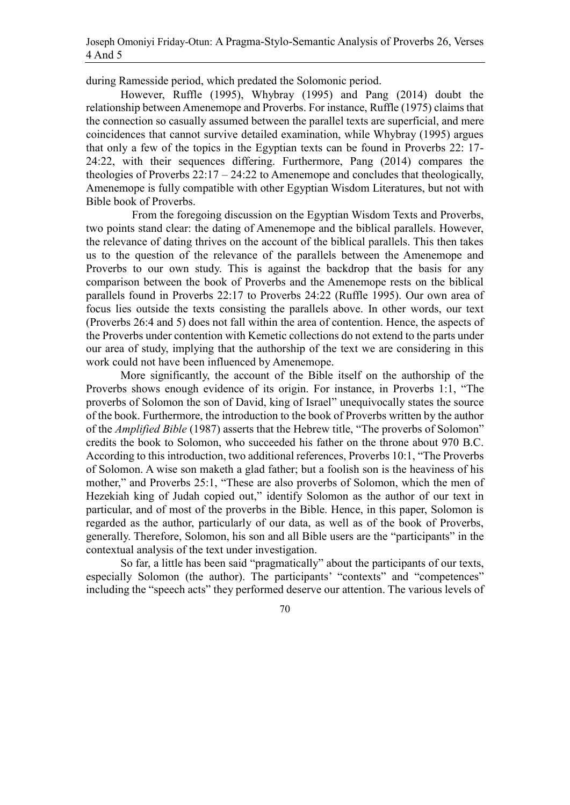during Ramesside period, which predated the Solomonic period.

However, Ruffle (1995), Whybray (1995) and Pang (2014) doubt the relationship between Amenemope and Proverbs. For instance, Ruffle (1975) claims that the connection so casually assumed between the parallel texts are superficial, and mere coincidences that cannot survive detailed examination, while Whybray (1995) argues that only a few of the topics in the Egyptian texts can be found in Proverbs 22: 17- 24:22, with their sequences differing. Furthermore, Pang (2014) compares the theologies of Proverbs  $22:17 - 24:22$  to Amenemope and concludes that theologically, Amenemope is fully compatible with other Egyptian Wisdom Literatures, but not with Bible book of Proverbs.

 From the foregoing discussion on the Egyptian Wisdom Texts and Proverbs, two points stand clear: the dating of Amenemope and the biblical parallels. However, the relevance of dating thrives on the account of the biblical parallels. This then takes us to the question of the relevance of the parallels between the Amenemope and Proverbs to our own study. This is against the backdrop that the basis for any comparison between the book of Proverbs and the Amenemope rests on the biblical parallels found in Proverbs 22:17 to Proverbs 24:22 (Ruffle 1995). Our own area of focus lies outside the texts consisting the parallels above. In other words, our text (Proverbs 26:4 and 5) does not fall within the area of contention. Hence, the aspects of the Proverbs under contention with Kemetic collections do not extend to the parts under our area of study, implying that the authorship of the text we are considering in this work could not have been influenced by Amenemope.

More significantly, the account of the Bible itself on the authorship of the Proverbs shows enough evidence of its origin. For instance, in Proverbs 1:1, "The proverbs of Solomon the son of David, king of Israel" unequivocally states the source of the book. Furthermore, the introduction to the book of Proverbs written by the author of the *Amplified Bible* (1987) asserts that the Hebrew title, "The proverbs of Solomon" credits the book to Solomon, who succeeded his father on the throne about 970 B.C. According to this introduction, two additional references, Proverbs 10:1, "The Proverbs of Solomon. A wise son maketh a glad father; but a foolish son is the heaviness of his mother," and Proverbs 25:1, "These are also proverbs of Solomon, which the men of Hezekiah king of Judah copied out," identify Solomon as the author of our text in particular, and of most of the proverbs in the Bible. Hence, in this paper, Solomon is regarded as the author, particularly of our data, as well as of the book of Proverbs, generally. Therefore, Solomon, his son and all Bible users are the "participants" in the contextual analysis of the text under investigation.

So far, a little has been said "pragmatically" about the participants of our texts, especially Solomon (the author). The participants' "contexts" and "competences" including the "speech acts" they performed deserve our attention. The various levels of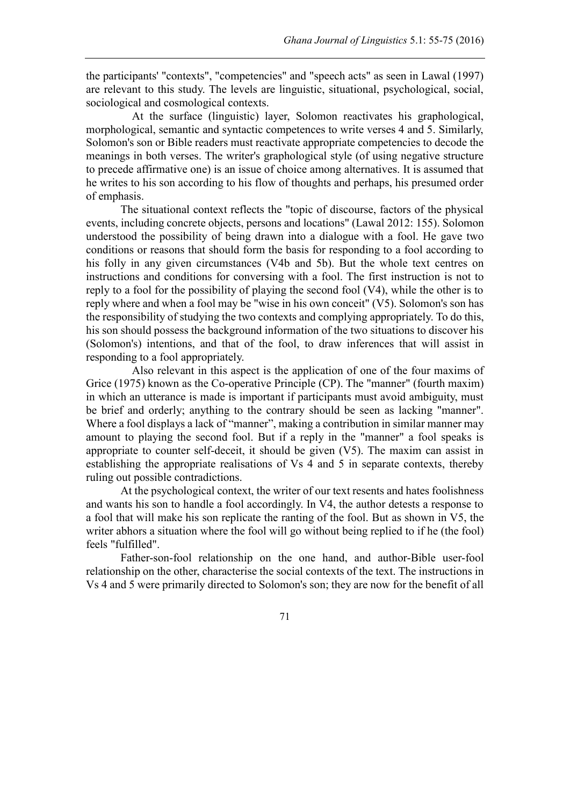the participants' "contexts", "competencies" and "speech acts" as seen in Lawal (1997) are relevant to this study. The levels are linguistic, situational, psychological, social, sociological and cosmological contexts.

 At the surface (linguistic) layer, Solomon reactivates his graphological, morphological, semantic and syntactic competences to write verses 4 and 5. Similarly, Solomon's son or Bible readers must reactivate appropriate competencies to decode the meanings in both verses. The writer's graphological style (of using negative structure to precede affirmative one) is an issue of choice among alternatives. It is assumed that he writes to his son according to his flow of thoughts and perhaps, his presumed order of emphasis.

The situational context reflects the "topic of discourse, factors of the physical events, including concrete objects, persons and locations" (Lawal 2012: 155). Solomon understood the possibility of being drawn into a dialogue with a fool. He gave two conditions or reasons that should form the basis for responding to a fool according to his folly in any given circumstances (V4b and 5b). But the whole text centres on instructions and conditions for conversing with a fool. The first instruction is not to reply to a fool for the possibility of playing the second fool (V4), while the other is to reply where and when a fool may be "wise in his own conceit" (V5). Solomon's son has the responsibility of studying the two contexts and complying appropriately. To do this, his son should possess the background information of the two situations to discover his (Solomon's) intentions, and that of the fool, to draw inferences that will assist in responding to a fool appropriately.

 Also relevant in this aspect is the application of one of the four maxims of Grice (1975) known as the Co-operative Principle (CP). The "manner" (fourth maxim) in which an utterance is made is important if participants must avoid ambiguity, must be brief and orderly; anything to the contrary should be seen as lacking "manner". Where a fool displays a lack of "manner", making a contribution in similar manner may amount to playing the second fool. But if a reply in the "manner" a fool speaks is appropriate to counter self-deceit, it should be given (V5). The maxim can assist in establishing the appropriate realisations of Vs 4 and 5 in separate contexts, thereby ruling out possible contradictions.

At the psychological context, the writer of our text resents and hates foolishness and wants his son to handle a fool accordingly. In V4, the author detests a response to a fool that will make his son replicate the ranting of the fool. But as shown in V5, the writer abhors a situation where the fool will go without being replied to if he (the fool) feels "fulfilled".

Father-son-fool relationship on the one hand, and author-Bible user-fool relationship on the other, characterise the social contexts of the text. The instructions in Vs 4 and 5 were primarily directed to Solomon's son; they are now for the benefit of all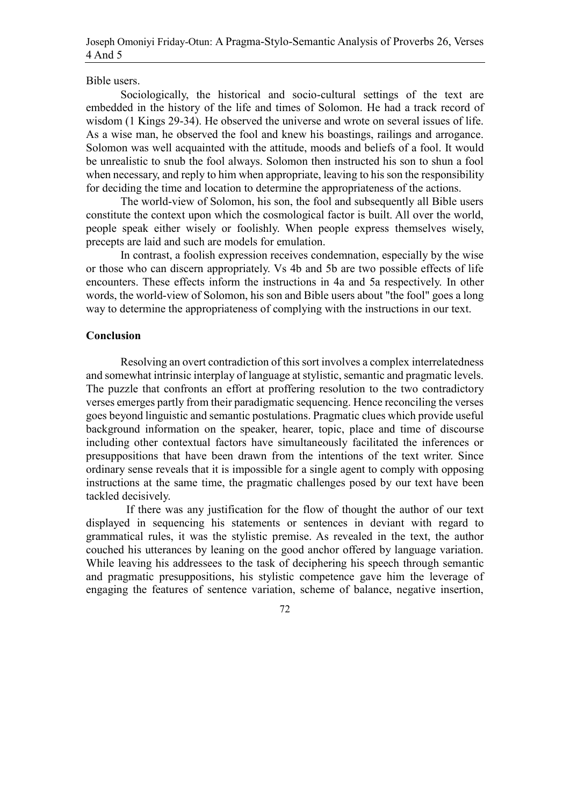Bible users.

Sociologically, the historical and socio-cultural settings of the text are embedded in the history of the life and times of Solomon. He had a track record of wisdom (1 Kings 29-34). He observed the universe and wrote on several issues of life. As a wise man, he observed the fool and knew his boastings, railings and arrogance. Solomon was well acquainted with the attitude, moods and beliefs of a fool. It would be unrealistic to snub the fool always. Solomon then instructed his son to shun a fool when necessary, and reply to him when appropriate, leaving to his son the responsibility for deciding the time and location to determine the appropriateness of the actions.

The world-view of Solomon, his son, the fool and subsequently all Bible users constitute the context upon which the cosmological factor is built. All over the world, people speak either wisely or foolishly. When people express themselves wisely, precepts are laid and such are models for emulation.

In contrast, a foolish expression receives condemnation, especially by the wise or those who can discern appropriately. Vs 4b and 5b are two possible effects of life encounters. These effects inform the instructions in 4a and 5a respectively. In other words, the world-view of Solomon, his son and Bible users about "the fool" goes a long way to determine the appropriateness of complying with the instructions in our text.

# **Conclusion**

Resolving an overt contradiction of this sort involves a complex interrelatedness and somewhat intrinsic interplay of language at stylistic, semantic and pragmatic levels. The puzzle that confronts an effort at proffering resolution to the two contradictory verses emerges partly from their paradigmatic sequencing. Hence reconciling the verses goes beyond linguistic and semantic postulations. Pragmatic clues which provide useful background information on the speaker, hearer, topic, place and time of discourse including other contextual factors have simultaneously facilitated the inferences or presuppositions that have been drawn from the intentions of the text writer. Since ordinary sense reveals that it is impossible for a single agent to comply with opposing instructions at the same time, the pragmatic challenges posed by our text have been tackled decisively.

If there was any justification for the flow of thought the author of our text displayed in sequencing his statements or sentences in deviant with regard to grammatical rules, it was the stylistic premise. As revealed in the text, the author couched his utterances by leaning on the good anchor offered by language variation. While leaving his addressees to the task of deciphering his speech through semantic and pragmatic presuppositions, his stylistic competence gave him the leverage of engaging the features of sentence variation, scheme of balance, negative insertion,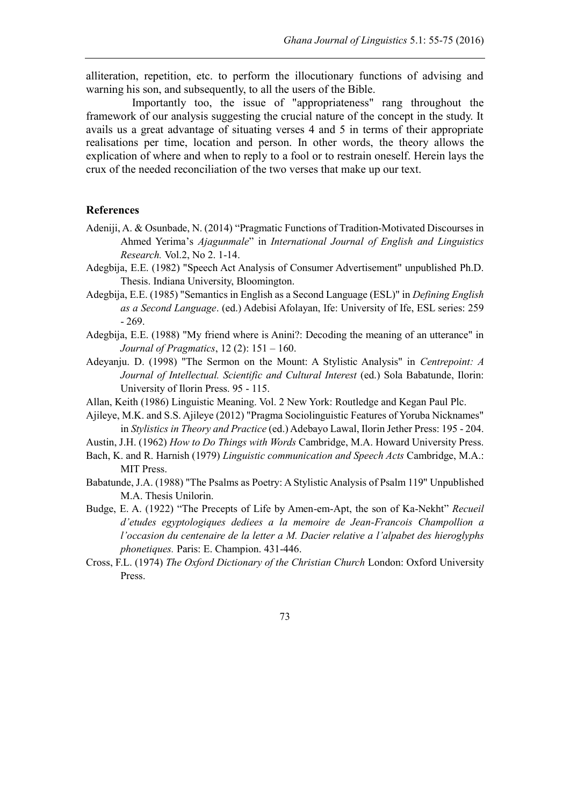alliteration, repetition, etc. to perform the illocutionary functions of advising and warning his son, and subsequently, to all the users of the Bible.

Importantly too, the issue of "appropriateness" rang throughout the framework of our analysis suggesting the crucial nature of the concept in the study. It avails us a great advantage of situating verses 4 and 5 in terms of their appropriate realisations per time, location and person. In other words, the theory allows the explication of where and when to reply to a fool or to restrain oneself. Herein lays the crux of the needed reconciliation of the two verses that make up our text.

# **References**

- Adeniji, A. & Osunbade, N. (2014) "Pragmatic Functions of Tradition-Motivated Discourses in Ahmed Yerima's *Ajagunmale*" in *International Journal of English and Linguistics Research.* Vol.2, No 2. 1-14.
- Adegbija, E.E. (1982) "Speech Act Analysis of Consumer Advertisement" unpublished Ph.D. Thesis. Indiana University, Bloomington.
- Adegbija, E.E. (1985) "Semantics in English as a Second Language (ESL)" in *Defining English as a Second Language*. (ed.) Adebisi Afolayan, Ife: University of Ife, ESL series: 259 - 269.
- Adegbija, E.E. (1988) "My friend where is Anini?: Decoding the meaning of an utterance" in *Journal of Pragmatics*, 12 (2): 151 – 160.
- Adeyanju. D. (1998) "The Sermon on the Mount: A Stylistic Analysis" in *Centrepoint: A Journal of Intellectual. Scientific and Cultural Interest* (ed.) Sola Babatunde, Ilorin: University of Ilorin Press. 95 - 115.
- Allan, Keith (1986) Linguistic Meaning. Vol. 2 New York: Routledge and Kegan Paul Plc.
- Ajileye, M.K. and S.S. Ajileye (2012) "Pragma Sociolinguistic Features of Yoruba Nicknames" in *Stylistics in Theory and Practice* (ed.) Adebayo Lawal, Ilorin Jether Press: 195 - 204.
- Austin, J.H. (1962) *How to Do Things with Words* Cambridge, M.A. Howard University Press.
- Bach, K. and R. Harnish (1979) *Linguistic communication and Speech Acts* Cambridge, M.A.: MIT Press.
- Babatunde, J.A. (1988) "The Psalms as Poetry: A Stylistic Analysis of Psalm 119" Unpublished M.A. Thesis Unilorin.
- Budge, E. A. (1922) "The Precepts of Life by Amen-em-Apt, the son of Ka-Nekht" *Recueil d'etudes egyptologiques dediees a la memoire de Jean-Francois Champollion a l'occasion du centenaire de la letter a M. Dacier relative a l'alpabet des hieroglyphs phonetiques.* Paris: E. Champion. 431-446.
- Cross, F.L. (1974) *The Oxford Dictionary of the Christian Church* London: Oxford University Press.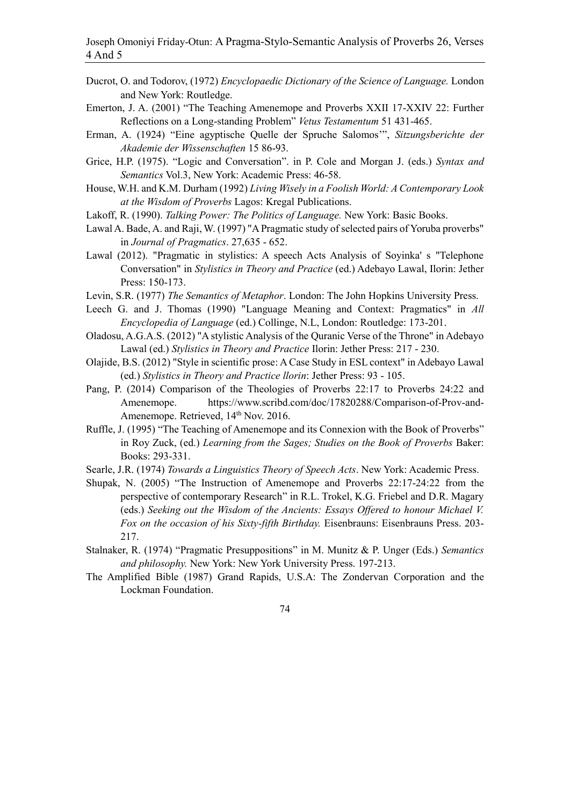- Ducrot, O. and Todorov, (1972) *Encyclopaedic Dictionary of the Science of Language.* London and New York: Routledge.
- Emerton, J. A. (2001) "The Teaching Amenemope and Proverbs XXII 17-XXIV 22: Further Reflections on a Long-standing Problem" *Vetus Testamentum* 51 431-465.
- Erman, A. (1924) "Eine agyptische Quelle der Spruche Salomos'", *Sitzungsberichte der Akademie der Wissenschaften* 15 86-93.
- Grice, H.P. (1975). "Logic and Conversation". in P. Cole and Morgan J. (eds.) *Syntax and Semantics* Vol.3, New York: Academic Press: 46-58.
- House, W.H. and K.M. Durham (1992) *Living Wisely in a Foolish World: A Contemporary Look at the Wisdom of Proverbs* Lagos: Kregal Publications.
- Lakoff, R. (1990). *Talking Power: The Politics of Language.* New York: Basic Books.
- Lawal A. Bade, A. and Raji, W. (1997) "A Pragmatic study of selected pairs of Yoruba proverbs" in *Journal of Pragmatics*. 27,635 - 652.
- Lawal (2012). "Pragmatic in stylistics: A speech Acts Analysis of Soyinka' s "Telephone Conversation" in *Stylistics in Theory and Practice* (ed.) Adebayo Lawal, Ilorin: Jether Press: 150-173.
- Levin, S.R. (1977) *The Semantics of Metaphor*. London: The John Hopkins University Press.
- Leech G. and J. Thomas (1990) "Language Meaning and Context: Pragmatics" in *All Encyclopedia of Language* (ed.) Collinge, N.L, London: Routledge: 173-201.
- Oladosu, A.G.A.S. (2012) "A stylistic Analysis of the Quranic Verse of the Throne" in Adebayo Lawal (ed.) *Stylistics in Theory and Practice* Ilorin: Jether Press: 217 - 230.
- Olajide, B.S. (2012) "Style in scientific prose: A Case Study in ESL context" in Adebayo Lawal (ed.) *Stylistics in Theory and Practice llorin*: Jether Press: 93 - 105.
- Pang, P. (2014) Comparison of the Theologies of Proverbs 22:17 to Proverbs 24:22 and Amenemope. https://www.scribd.com/doc/17820288/Comparison-of-Prov-and-Amenemope. Retrieved, 14<sup>th</sup> Nov. 2016.
- Ruffle, J. (1995) "The Teaching of Amenemope and its Connexion with the Book of Proverbs" in Roy Zuck, (ed.) *Learning from the Sages; Studies on the Book of Proverbs* Baker: Books: 293-331.
- Searle, J.R. (1974) *Towards a Linguistics Theory of Speech Acts*. New York: Academic Press.
- Shupak, N. (2005) "The Instruction of Amenemope and Proverbs 22:17-24:22 from the perspective of contemporary Research" in R.L. Trokel, K.G. Friebel and D.R. Magary (eds.) *Seeking out the Wisdom of the Ancients: Essays Offered to honour Michael V. Fox on the occasion of his Sixty-fifth Birthday.* Eisenbrauns: Eisenbrauns Press. 203- 217.
- Stalnaker, R. (1974) "Pragmatic Presuppositions" in M. Munitz & P. Unger (Eds.) *Semantics and philosophy.* New York: New York University Press. 197-213.
- The Amplified Bible (1987) Grand Rapids, U.S.A: The Zondervan Corporation and the Lockman Foundation.